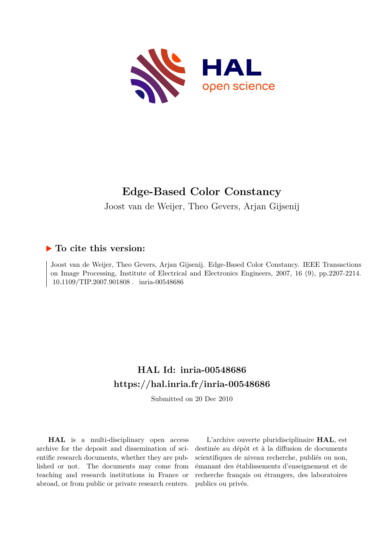

# **Edge-Based Color Constancy**

Joost van de Weijer, Theo Gevers, Arjan Gijsenij

# **To cite this version:**

Joost van de Weijer, Theo Gevers, Arjan Gijsenij. Edge-Based Color Constancy. IEEE Transactions on Image Processing, Institute of Electrical and Electronics Engineers, 2007, 16 (9), pp.2207-2214.  $10.1109/TIP.2007.901808$ . inria-00548686

# **HAL Id: inria-00548686 <https://hal.inria.fr/inria-00548686>**

Submitted on 20 Dec 2010

**HAL** is a multi-disciplinary open access archive for the deposit and dissemination of scientific research documents, whether they are published or not. The documents may come from teaching and research institutions in France or abroad, or from public or private research centers.

L'archive ouverte pluridisciplinaire **HAL**, est destinée au dépôt et à la diffusion de documents scientifiques de niveau recherche, publiés ou non, émanant des établissements d'enseignement et de recherche français ou étrangers, des laboratoires publics ou privés.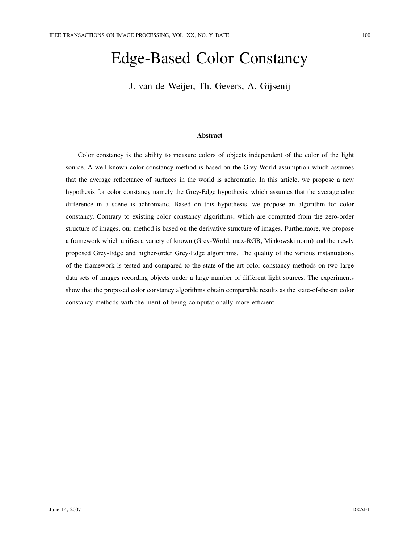# Edge-Based Color Constancy

J. van de Weijer, Th. Gevers, A. Gijsenij

#### Abstract

Color constancy is the ability to measure colors of objects independent of the color of the light source. A well-known color constancy method is based on the Grey-World assumption which assumes that the average reflectance of surfaces in the world is achromatic. In this article, we propose a new hypothesis for color constancy namely the Grey-Edge hypothesis, which assumes that the average edge difference in a scene is achromatic. Based on this hypothesis, we propose an algorithm for color constancy. Contrary to existing color constancy algorithms, which are computed from the zero-order structure of images, our method is based on the derivative structure of images. Furthermore, we propose a framework which unifies a variety of known (Grey-World, max-RGB, Minkowski norm) and the newly proposed Grey-Edge and higher-order Grey-Edge algorithms. The quality of the various instantiations of the framework is tested and compared to the state-of-the-art color constancy methods on two large data sets of images recording objects under a large number of different light sources. The experiments show that the proposed color constancy algorithms obtain comparable results as the state-of-the-art color constancy methods with the merit of being computationally more efficient.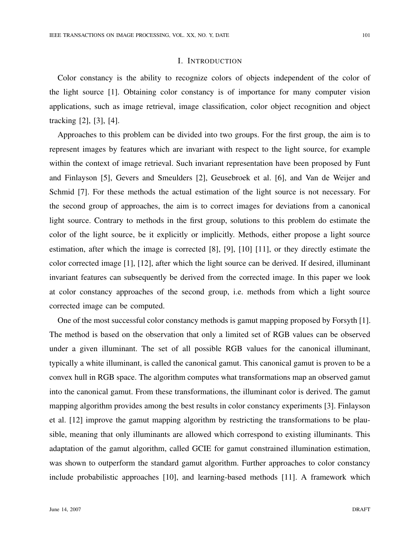#### I. INTRODUCTION

Color constancy is the ability to recognize colors of objects independent of the color of the light source [1]. Obtaining color constancy is of importance for many computer vision applications, such as image retrieval, image classification, color object recognition and object tracking [2], [3], [4].

Approaches to this problem can be divided into two groups. For the first group, the aim is to represent images by features which are invariant with respect to the light source, for example within the context of image retrieval. Such invariant representation have been proposed by Funt and Finlayson [5], Gevers and Smeulders [2], Geusebroek et al. [6], and Van de Weijer and Schmid [7]. For these methods the actual estimation of the light source is not necessary. For the second group of approaches, the aim is to correct images for deviations from a canonical light source. Contrary to methods in the first group, solutions to this problem do estimate the color of the light source, be it explicitly or implicitly. Methods, either propose a light source estimation, after which the image is corrected [8], [9], [10] [11], or they directly estimate the color corrected image [1], [12], after which the light source can be derived. If desired, illuminant invariant features can subsequently be derived from the corrected image. In this paper we look at color constancy approaches of the second group, i.e. methods from which a light source corrected image can be computed.

One of the most successful color constancy methods is gamut mapping proposed by Forsyth [1]. The method is based on the observation that only a limited set of RGB values can be observed under a given illuminant. The set of all possible RGB values for the canonical illuminant, typically a white illuminant, is called the canonical gamut. This canonical gamut is proven to be a convex hull in RGB space. The algorithm computes what transformations map an observed gamut into the canonical gamut. From these transformations, the illuminant color is derived. The gamut mapping algorithm provides among the best results in color constancy experiments [3]. Finlayson et al. [12] improve the gamut mapping algorithm by restricting the transformations to be plausible, meaning that only illuminants are allowed which correspond to existing illuminants. This adaptation of the gamut algorithm, called GCIE for gamut constrained illumination estimation, was shown to outperform the standard gamut algorithm. Further approaches to color constancy include probabilistic approaches [10], and learning-based methods [11]. A framework which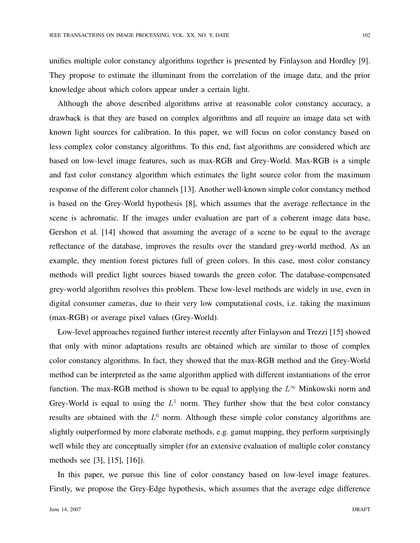unifies multiple color constancy algorithms together is presented by Finlayson and Hordley [9]. They propose to estimate the illuminant from the correlation of the image data, and the prior knowledge about which colors appear under a certain light.

Although the above described algorithms arrive at reasonable color constancy accuracy, a drawback is that they are based on complex algorithms and all require an image data set with known light sources for calibration. In this paper, we will focus on color constancy based on less complex color constancy algorithms. To this end, fast algorithms are considered which are based on low-level image features, such as max-RGB and Grey-World. Max-RGB is a simple and fast color constancy algorithm which estimates the light source color from the maximum response of the different color channels [13]. Another well-known simple color constancy method is based on the Grey-World hypothesis [8], which assumes that the average reflectance in the scene is achromatic. If the images under evaluation are part of a coherent image data base, Gershon et al. [14] showed that assuming the average of a scene to be equal to the average reflectance of the database, improves the results over the standard grey-world method. As an example, they mention forest pictures full of green colors. In this case, most color constancy methods will predict light sources biased towards the green color. The database-compensated grey-world algorithm resolves this problem. These low-level methods are widely in use, even in digital consumer cameras, due to their very low computational costs, i.e. taking the maximum (max-RGB) or average pixel values (Grey-World).

Low-level approaches regained further interest recently after Finlayson and Trezzi [15] showed that only with minor adaptations results are obtained which are similar to those of complex color constancy algorithms. In fact, they showed that the max-RGB method and the Grey-World method can be interpreted as the same algorithm applied with different instantiations of the error function. The max-RGB method is shown to be equal to applying the  $L^{\infty}$  Minkowski norm and Grey-World is equal to using the  $L^1$  norm. They further show that the best color constancy results are obtained with the  $L<sup>6</sup>$  norm. Although these simple color constancy algorithms are slightly outperformed by more elaborate methods, e.g. gamut mapping, they perform surprisingly well while they are conceptually simpler (for an extensive evaluation of multiple color constancy methods see [3], [15], [16]).

In this paper, we pursue this line of color constancy based on low-level image features. Firstly, we propose the Grey-Edge hypothesis, which assumes that the average edge difference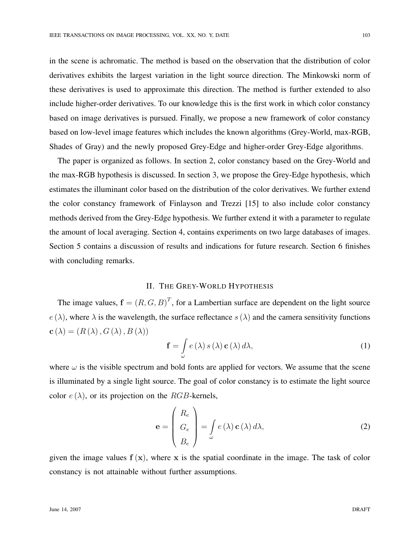in the scene is achromatic. The method is based on the observation that the distribution of color derivatives exhibits the largest variation in the light source direction. The Minkowski norm of these derivatives is used to approximate this direction. The method is further extended to also include higher-order derivatives. To our knowledge this is the first work in which color constancy based on image derivatives is pursued. Finally, we propose a new framework of color constancy based on low-level image features which includes the known algorithms (Grey-World, max-RGB, Shades of Gray) and the newly proposed Grey-Edge and higher-order Grey-Edge algorithms.

The paper is organized as follows. In section 2, color constancy based on the Grey-World and the max-RGB hypothesis is discussed. In section 3, we propose the Grey-Edge hypothesis, which estimates the illuminant color based on the distribution of the color derivatives. We further extend the color constancy framework of Finlayson and Trezzi [15] to also include color constancy methods derived from the Grey-Edge hypothesis. We further extend it with a parameter to regulate the amount of local averaging. Section 4, contains experiments on two large databases of images. Section 5 contains a discussion of results and indications for future research. Section 6 finishes with concluding remarks.

## II. THE GREY-WORLD HYPOTHESIS

The image values,  $f = (R, G, B)^T$ , for a Lambertian surface are dependent on the light source  $e(\lambda)$ , where  $\lambda$  is the wavelength, the surface reflectance  $s(\lambda)$  and the camera sensitivity functions  $\mathbf{c}(\lambda) = (R(\lambda), G(\lambda), B(\lambda))$ 

$$
\mathbf{f} = \int_{\omega} e(\lambda) s(\lambda) \mathbf{c}(\lambda) d\lambda,
$$
 (1)

where  $\omega$  is the visible spectrum and bold fonts are applied for vectors. We assume that the scene is illuminated by a single light source. The goal of color constancy is to estimate the light source color  $e(\lambda)$ , or its projection on the RGB-kernels,

$$
\mathbf{e} = \begin{pmatrix} R_e \\ G_e \\ B_e \end{pmatrix} = \int_{\omega} e(\lambda) \mathbf{c}(\lambda) d\lambda,
$$
 (2)

given the image values  $f(x)$ , where x is the spatial coordinate in the image. The task of color constancy is not attainable without further assumptions.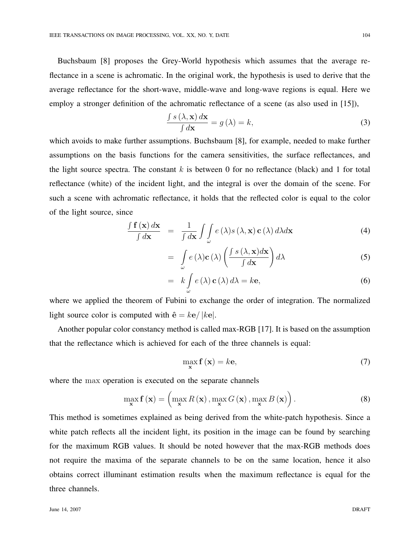Buchsbaum [8] proposes the Grey-World hypothesis which assumes that the average reflectance in a scene is achromatic. In the original work, the hypothesis is used to derive that the average reflectance for the short-wave, middle-wave and long-wave regions is equal. Here we employ a stronger definition of the achromatic reflectance of a scene (as also used in [15]), R

$$
\frac{\int s\left(\lambda, \mathbf{x}\right) d\mathbf{x}}{\int d\mathbf{x}} = g\left(\lambda\right) = k,\tag{3}
$$

which avoids to make further assumptions. Buchsbaum [8], for example, needed to make further assumptions on the basis functions for the camera sensitivities, the surface reflectances, and the light source spectra. The constant  $k$  is between 0 for no reflectance (black) and 1 for total reflectance (white) of the incident light, and the integral is over the domain of the scene. For such a scene with achromatic reflectance, it holds that the reflected color is equal to the color of the light source, since

$$
\frac{\int \mathbf{f}(\mathbf{x}) d\mathbf{x}}{\int d\mathbf{x}} = \frac{1}{\int d\mathbf{x}} \int \int_{\omega} e(\lambda) s(\lambda, \mathbf{x}) \mathbf{c}(\lambda) d\lambda d\mathbf{x}
$$
\n(4)

$$
= \int_{\omega} e(\lambda) \mathbf{c}(\lambda) \left( \frac{\int s(\lambda, \mathbf{x}) d\mathbf{x}}{\int d\mathbf{x}} \right) d\lambda
$$
 (5)

$$
= k \int_{\omega} e(\lambda) \mathbf{c}(\lambda) d\lambda = k \mathbf{e}, \qquad (6)
$$

where we applied the theorem of Fubini to exchange the order of integration. The normalized light source color is computed with  $\hat{\mathbf{e}} = k\mathbf{e}/|k\mathbf{e}|$ .

Another popular color constancy method is called max-RGB [17]. It is based on the assumption that the reflectance which is achieved for each of the three channels is equal:

$$
\max_{\mathbf{x}} \mathbf{f}(\mathbf{x}) = k\mathbf{e},\tag{7}
$$

where the max operation is executed on the separate channels

$$
\max_{\mathbf{x}} \mathbf{f}(\mathbf{x}) = \left( \max_{\mathbf{x}} R(\mathbf{x}), \max_{\mathbf{x}} G(\mathbf{x}), \max_{\mathbf{x}} B(\mathbf{x}) \right). \tag{8}
$$

This method is sometimes explained as being derived from the white-patch hypothesis. Since a white patch reflects all the incident light, its position in the image can be found by searching for the maximum RGB values. It should be noted however that the max-RGB methods does not require the maxima of the separate channels to be on the same location, hence it also obtains correct illuminant estimation results when the maximum reflectance is equal for the three channels.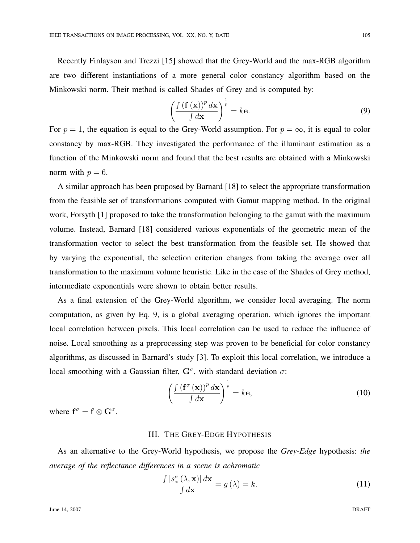Recently Finlayson and Trezzi [15] showed that the Grey-World and the max-RGB algorithm are two different instantiations of a more general color constancy algorithm based on the Minkowski norm. Their method is called Shades of Grey and is computed by:

$$
\left(\frac{\int (\mathbf{f}(\mathbf{x}))^p d\mathbf{x}}{\int d\mathbf{x}}\right)^{\frac{1}{p}} = k\mathbf{e}.\tag{9}
$$

For  $p = 1$ , the equation is equal to the Grey-World assumption. For  $p = \infty$ , it is equal to color constancy by max-RGB. They investigated the performance of the illuminant estimation as a function of the Minkowski norm and found that the best results are obtained with a Minkowski norm with  $p = 6$ .

A similar approach has been proposed by Barnard [18] to select the appropriate transformation from the feasible set of transformations computed with Gamut mapping method. In the original work, Forsyth [1] proposed to take the transformation belonging to the gamut with the maximum volume. Instead, Barnard [18] considered various exponentials of the geometric mean of the transformation vector to select the best transformation from the feasible set. He showed that by varying the exponential, the selection criterion changes from taking the average over all transformation to the maximum volume heuristic. Like in the case of the Shades of Grey method, intermediate exponentials were shown to obtain better results.

As a final extension of the Grey-World algorithm, we consider local averaging. The norm computation, as given by Eq. 9, is a global averaging operation, which ignores the important local correlation between pixels. This local correlation can be used to reduce the influence of noise. Local smoothing as a preprocessing step was proven to be beneficial for color constancy algorithms, as discussed in Barnard's study [3]. To exploit this local correlation, we introduce a local smoothing with a Gaussian filter,  $G^{\sigma}$ , with standard deviation  $\sigma$ :

$$
\left(\frac{\int \left(\mathbf{f}^{\sigma}\left(\mathbf{x}\right)\right)^{p} d\mathbf{x}}{\int d\mathbf{x}}\right)^{\frac{1}{p}} = k\mathbf{e},\tag{10}
$$

where  $f^{\sigma} = f \otimes G^{\sigma}$ .

### III. THE GREY-EDGE HYPOTHESIS

As an alternative to the Grey-World hypothesis, we propose the *Grey-Edge* hypothesis: *the average of the reflectance differences in a scene is achromatic*

$$
\frac{\int |s_{\mathbf{x}}^{\sigma}(\lambda, \mathbf{x})| d\mathbf{x}}{\int d\mathbf{x}} = g(\lambda) = k.
$$
 (11)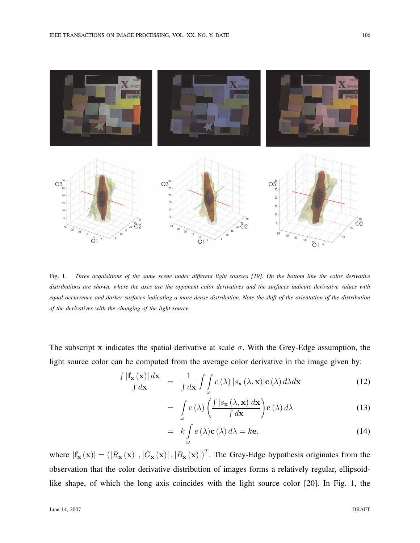

Fig. 1. *Three acquisitions of the same scene under different light sources [19]. On the bottom line the color derivative distributions are shown, where the axes are the opponent color derivatives and the surfaces indicate derivative values with equal occurrence and darker surfaces indicating a more dense distribution. Note the shift of the orientation of the distribution of the derivatives with the changing of the light source.*

The subscript x indicates the spatial derivative at scale  $\sigma$ . With the Grey-Edge assumption, the light source color can be computed from the average color derivative in the image given by:

$$
\frac{\int |\mathbf{f}_{\mathbf{x}}(\mathbf{x})| d\mathbf{x}}{\int d\mathbf{x}} = \frac{1}{\int d\mathbf{x}} \int \int_{\omega} e(\lambda) |s_{\mathbf{x}}(\lambda, \mathbf{x})| \mathbf{c}(\lambda) d\lambda d\mathbf{x}
$$
(12)

$$
= \int_{\omega} e(\lambda) \left( \frac{\int |s_{\mathbf{x}}(\lambda, \mathbf{x})| d\mathbf{x}}{\int d\mathbf{x}} \right) \mathbf{c}(\lambda) d\lambda \tag{13}
$$

$$
= k \int_{\omega} e(\lambda) \mathbf{c}(\lambda) d\lambda = k \mathbf{e}, \qquad (14)
$$

where  $|f_{\mathbf{x}}(\mathbf{x})| = (|R_{\mathbf{x}}(\mathbf{x})|, |G_{\mathbf{x}}(\mathbf{x})|, |B_{\mathbf{x}}(\mathbf{x})|)^T$ . The Grey-Edge hypothesis originates from the observation that the color derivative distribution of images forms a relatively regular, ellipsoidlike shape, of which the long axis coincides with the light source color [20]. In Fig. 1, the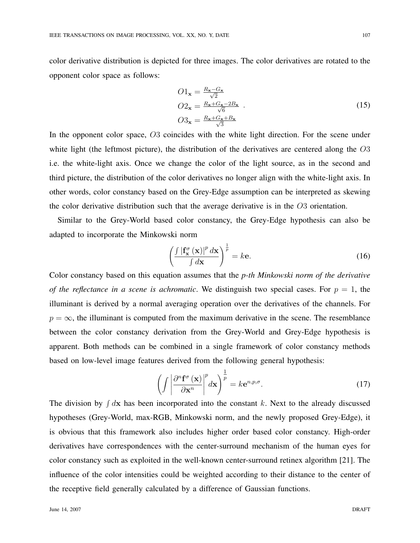color derivative distribution is depicted for three images. The color derivatives are rotated to the opponent color space as follows:

$$
O1_{\mathbf{x}} = \frac{R_{\mathbf{x}} - G_{\mathbf{x}}}{\sqrt{2}}
$$
  
\n
$$
O2_{\mathbf{x}} = \frac{R_{\mathbf{x}} + G_{\mathbf{x}} - 2B_{\mathbf{x}}}{\sqrt{6}}
$$
  
\n
$$
O3_{\mathbf{x}} = \frac{R_{\mathbf{x}} + G_{\mathbf{x}} + B_{\mathbf{x}}}{\sqrt{3}}
$$
\n(15)

In the opponent color space, O3 coincides with the white light direction. For the scene under white light (the leftmost picture), the distribution of the derivatives are centered along the  $O3$ i.e. the white-light axis. Once we change the color of the light source, as in the second and third picture, the distribution of the color derivatives no longer align with the white-light axis. In other words, color constancy based on the Grey-Edge assumption can be interpreted as skewing the color derivative distribution such that the average derivative is in the O3 orientation.

Similar to the Grey-World based color constancy, the Grey-Edge hypothesis can also be adapted to incorporate the Minkowski norm

$$
\left(\frac{\int \left|\mathbf{f}_{\mathbf{x}}^{\sigma}\left(\mathbf{x}\right)\right|^{p} d\mathbf{x}}{\int d\mathbf{x}}\right)^{\frac{1}{p}} = k\mathbf{e}.\tag{16}
$$

Color constancy based on this equation assumes that the *p-th Minkowski norm of the derivative of the reflectance in a scene is achromatic*. We distinguish two special cases. For  $p = 1$ , the illuminant is derived by a normal averaging operation over the derivatives of the channels. For  $p = \infty$ , the illuminant is computed from the maximum derivative in the scene. The resemblance between the color constancy derivation from the Grey-World and Grey-Edge hypothesis is apparent. Both methods can be combined in a single framework of color constancy methods based on low-level image features derived from the following general hypothesis:

$$
\left(\int \left| \frac{\partial^n \mathbf{f}^\sigma(\mathbf{x})}{\partial \mathbf{x}^n} \right|^p d\mathbf{x} \right)^{\frac{1}{p}} = k \mathbf{e}^{n, p, \sigma}.
$$
\n(17)

The division by  $\int d\mathbf{x}$  has been incorporated into the constant k. Next to the already discussed hypotheses (Grey-World, max-RGB, Minkowski norm, and the newly proposed Grey-Edge), it is obvious that this framework also includes higher order based color constancy. High-order derivatives have correspondences with the center-surround mechanism of the human eyes for color constancy such as exploited in the well-known center-surround retinex algorithm [21]. The influence of the color intensities could be weighted according to their distance to the center of the receptive field generally calculated by a difference of Gaussian functions.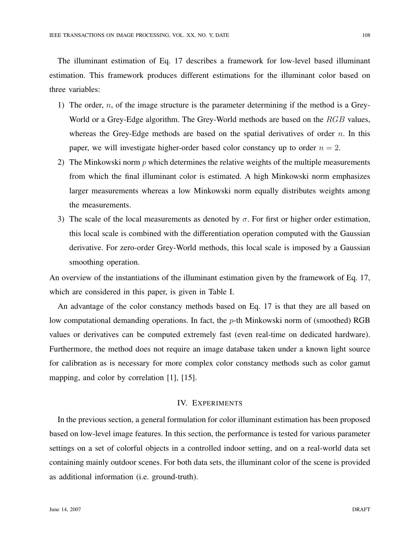The illuminant estimation of Eq. 17 describes a framework for low-level based illuminant estimation. This framework produces different estimations for the illuminant color based on three variables:

- 1) The order,  $n$ , of the image structure is the parameter determining if the method is a Grey-World or a Grey-Edge algorithm. The Grey-World methods are based on the RGB values, whereas the Grey-Edge methods are based on the spatial derivatives of order  $n$ . In this paper, we will investigate higher-order based color constancy up to order  $n = 2$ .
- 2) The Minkowski norm  $p$  which determines the relative weights of the multiple measurements from which the final illuminant color is estimated. A high Minkowski norm emphasizes larger measurements whereas a low Minkowski norm equally distributes weights among the measurements.
- 3) The scale of the local measurements as denoted by  $\sigma$ . For first or higher order estimation, this local scale is combined with the differentiation operation computed with the Gaussian derivative. For zero-order Grey-World methods, this local scale is imposed by a Gaussian smoothing operation.

An overview of the instantiations of the illuminant estimation given by the framework of Eq. 17, which are considered in this paper, is given in Table I.

An advantage of the color constancy methods based on Eq. 17 is that they are all based on low computational demanding operations. In fact, the  $p$ -th Minkowski norm of (smoothed) RGB values or derivatives can be computed extremely fast (even real-time on dedicated hardware). Furthermore, the method does not require an image database taken under a known light source for calibration as is necessary for more complex color constancy methods such as color gamut mapping, and color by correlation [1], [15].

# IV. EXPERIMENTS

In the previous section, a general formulation for color illuminant estimation has been proposed based on low-level image features. In this section, the performance is tested for various parameter settings on a set of colorful objects in a controlled indoor setting, and on a real-world data set containing mainly outdoor scenes. For both data sets, the illuminant color of the scene is provided as additional information (i.e. ground-truth).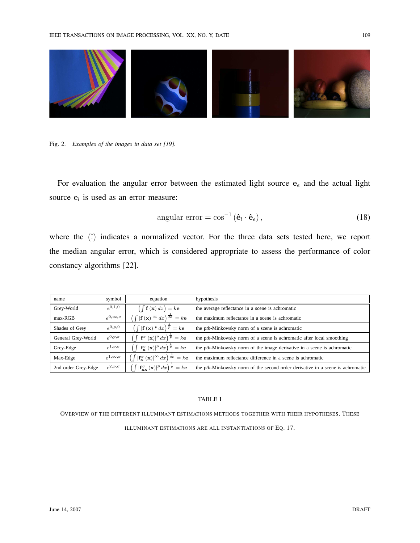

Fig. 2. *Examples of the images in data set [19].*

For evaluation the angular error between the estimated light source  $e_e$  and the actual light source  $e_l$  is used as an error measure:

angular error = 
$$
\cos^{-1} (\hat{\mathbf{e}}_l \cdot \hat{\mathbf{e}}_e)
$$
, (18)

where the  $\hat{c}$  indicates a normalized vector. For the three data sets tested here, we report the median angular error, which is considered appropriate to assess the performance of color constancy algorithms [22].

| name                | symbol                | equation                                                                                              | hypothesis                                                                     |
|---------------------|-----------------------|-------------------------------------------------------------------------------------------------------|--------------------------------------------------------------------------------|
| Grey-World          | $e^{0,1,0}$           | $\int$ f (x) dx) = ke                                                                                 | the average reflectance in a scene is achromatic                               |
| $max-RGB$           | $e^{0,\infty,o}$      | $\int \int  \mathbf{f}(\mathbf{x}) ^{\infty} dx \big) ^{\frac{1}{\infty}} = k \mathbf{e}^{-k}$        | the maximum reflectance in a scene is achromatic                               |
| Shades of Grey      | $e^{0,p,0}$           | $\left(\int  \mathbf{f}(\mathbf{x}) ^p dx\right)^{\frac{1}{p}} = k\mathbf{e}$                         | the pth-Minkowsky norm of a scene is achromatic                                |
| General Grey-World  | $e^{0,p,\sigma}$      | $\left(\int  \mathbf{f}^{\sigma}(\mathbf{x}) ^p dx\right)^{\frac{1}{p}} = k\mathbf{e}$                | the pth-Minkowsky norm of a scene is achromatic after local smoothing          |
| Grey-Edge           | $e^{1,p,\sigma}$      | $\left(\int  \mathbf{f}_{\mathbf{x}}^{\sigma}(\mathbf{x}) ^p dx\right)^{\frac{1}{p}} = k\mathbf{e}$   | the pth-Minkowsky norm of the image derivative in a scene is achromatic        |
| Max-Edge            | $e^{1,\infty,\sigma}$ | $\int \int  f_{\mathbf{x}}^{\sigma}(\mathbf{x}) ^{\infty} dx \big) \frac{1}{\infty} = k \mathbf{e}$   | the maximum reflectance difference in a scene is achromatic                    |
| 2nd order Grey-Edge | $e^{2,p,\sigma}$      | $\int \int  \mathbf{f}_{\mathbf{xx}}^{\sigma}(\mathbf{x}) ^p dx \, \bigg ^\frac{1}{p} = k \mathbf{e}$ | the pth-Minkowsky norm of the second order derivative in a scene is achromatic |

#### TABLE I

OVERVIEW OF THE DIFFERENT ILLUMINANT ESTIMATIONS METHODS TOGETHER WITH THEIR HYPOTHESES. THESE

ILLUMINANT ESTIMATIONS ARE ALL INSTANTIATIONS OF EQ. 17.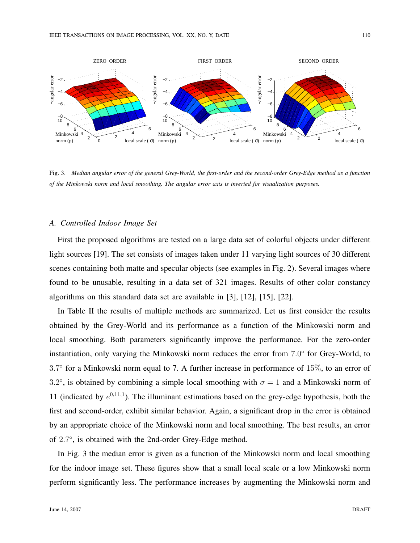

Fig. 3. *Median angular error of the general Grey-World, the first-order and the second-order Grey-Edge method as a function of the Minkowski norm and local smoothing. The angular error axis is inverted for visualization purposes.*

# *A. Controlled Indoor Image Set*

First the proposed algorithms are tested on a large data set of colorful objects under different light sources [19]. The set consists of images taken under 11 varying light sources of 30 different scenes containing both matte and specular objects (see examples in Fig. 2). Several images where found to be unusable, resulting in a data set of 321 images. Results of other color constancy algorithms on this standard data set are available in [3], [12], [15], [22].

In Table II the results of multiple methods are summarized. Let us first consider the results obtained by the Grey-World and its performance as a function of the Minkowski norm and local smoothing. Both parameters significantly improve the performance. For the zero-order instantiation, only varying the Minkowski norm reduces the error from 7.0° for Grey-World, to 3.7 ◦ for a Minkowski norm equal to 7. A further increase in performance of 15%, to an error of 3.2°, is obtained by combining a simple local smoothing with  $\sigma = 1$  and a Minkowski norm of 11 (indicated by  $e^{0,11,1}$ ). The illuminant estimations based on the grey-edge hypothesis, both the first and second-order, exhibit similar behavior. Again, a significant drop in the error is obtained by an appropriate choice of the Minkowski norm and local smoothing. The best results, an error of 2.7°, is obtained with the 2nd-order Grey-Edge method.

In Fig. 3 the median error is given as a function of the Minkowski norm and local smoothing for the indoor image set. These figures show that a small local scale or a low Minkowski norm perform significantly less. The performance increases by augmenting the Minkowski norm and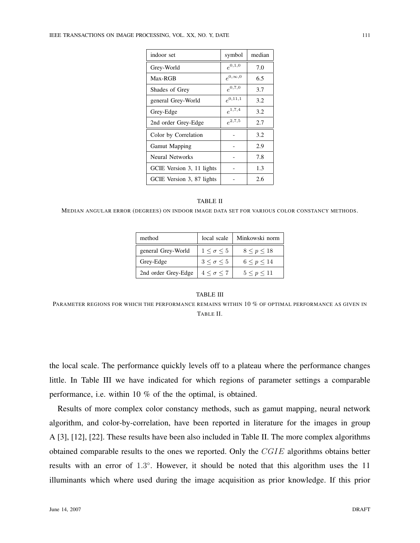| indoor set                | symbol           | median |
|---------------------------|------------------|--------|
| Grey-World                | $e^{0,1,0}$      | 7.0    |
| Max-RGB                   | $e^{0,\infty,0}$ | 6.5    |
| Shades of Grey            | $e^{0,7,0}$      | 3.7    |
| general Grey-World        | $e^{0,11,1}$     | 3.2    |
| Grey-Edge                 | $e^{1,7,4}$      | 3.2    |
| 2nd order Grey-Edge       | $e^{2,7,5}$      | 2.7    |
| Color by Correlation      |                  | 3.2    |
| <b>Gamut Mapping</b>      |                  | 2.9    |
| Neural Networks           |                  | 7.8    |
| GCIE Version 3, 11 lights |                  | 1.3    |
| GCIE Version 3, 87 lights |                  | 2.6    |

#### TABLE II

MEDIAN ANGULAR ERROR (DEGREES) ON INDOOR IMAGE DATA SET FOR VARIOUS COLOR CONSTANCY METHODS.

| method              | local scale          | Minkowski norm |  |
|---------------------|----------------------|----------------|--|
| general Grey-World  | $1 < \sigma < 5$     | 8 < p < 18     |  |
| Grey-Edge           | $3 < \sigma < 5$     | 6 < p < 14     |  |
| 2nd order Grey-Edge | $4 \lt \sigma \lt 7$ | 5 < p < 11     |  |

# TABLE III PARAMETER REGIONS FOR WHICH THE PERFORMANCE REMAINS WITHIN 10 % OF OPTIMAL PERFORMANCE AS GIVEN IN TABLE II.

the local scale. The performance quickly levels off to a plateau where the performance changes little. In Table III we have indicated for which regions of parameter settings a comparable performance, i.e. within 10 % of the the optimal, is obtained.

Results of more complex color constancy methods, such as gamut mapping, neural network algorithm, and color-by-correlation, have been reported in literature for the images in group A [3], [12], [22]. These results have been also included in Table II. The more complex algorithms obtained comparable results to the ones we reported. Only the CGIE algorithms obtains better results with an error of 1.3°. However, it should be noted that this algorithm uses the 11 illuminants which where used during the image acquisition as prior knowledge. If this prior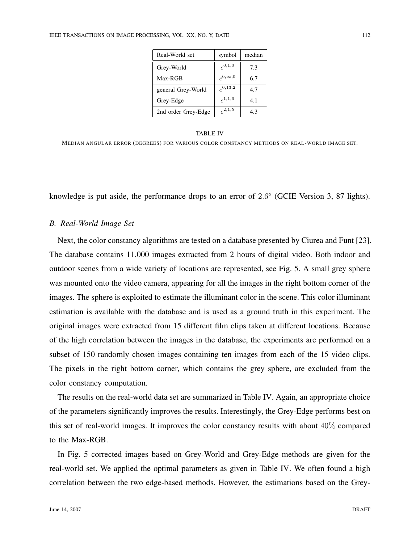| Real-World set      | symbol           | median |
|---------------------|------------------|--------|
| Grey-World          | $e^{0,1,0}$      | 7.3    |
| Max-RGB             | $e^{0,\infty,0}$ | 6.7    |
| general Grey-World  | $e^{0,13,2}$     | 4.7    |
| Grey-Edge           | $e^{1,1,6}$      | 4.1    |
| 2nd order Grey-Edge | $e^{2,1,5}$      | 4.3    |

#### TABLE IV

MEDIAN ANGULAR ERROR (DEGREES) FOR VARIOUS COLOR CONSTANCY METHODS ON REAL-WORLD IMAGE SET.

knowledge is put aside, the performance drops to an error of 2.6° (GCIE Version 3, 87 lights).

## *B. Real-World Image Set*

Next, the color constancy algorithms are tested on a database presented by Ciurea and Funt [23]. The database contains 11,000 images extracted from 2 hours of digital video. Both indoor and outdoor scenes from a wide variety of locations are represented, see Fig. 5. A small grey sphere was mounted onto the video camera, appearing for all the images in the right bottom corner of the images. The sphere is exploited to estimate the illuminant color in the scene. This color illuminant estimation is available with the database and is used as a ground truth in this experiment. The original images were extracted from 15 different film clips taken at different locations. Because of the high correlation between the images in the database, the experiments are performed on a subset of 150 randomly chosen images containing ten images from each of the 15 video clips. The pixels in the right bottom corner, which contains the grey sphere, are excluded from the color constancy computation.

The results on the real-world data set are summarized in Table IV. Again, an appropriate choice of the parameters significantly improves the results. Interestingly, the Grey-Edge performs best on this set of real-world images. It improves the color constancy results with about 40% compared to the Max-RGB.

In Fig. 5 corrected images based on Grey-World and Grey-Edge methods are given for the real-world set. We applied the optimal parameters as given in Table IV. We often found a high correlation between the two edge-based methods. However, the estimations based on the Grey-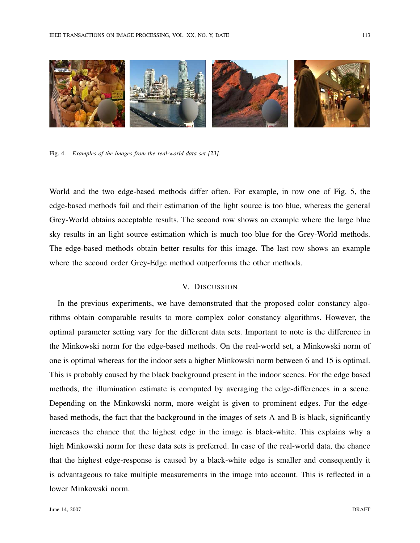

Fig. 4. *Examples of the images from the real-world data set [23].*

World and the two edge-based methods differ often. For example, in row one of Fig. 5, the edge-based methods fail and their estimation of the light source is too blue, whereas the general Grey-World obtains acceptable results. The second row shows an example where the large blue sky results in an light source estimation which is much too blue for the Grey-World methods. The edge-based methods obtain better results for this image. The last row shows an example where the second order Grey-Edge method outperforms the other methods.

# V. DISCUSSION

In the previous experiments, we have demonstrated that the proposed color constancy algorithms obtain comparable results to more complex color constancy algorithms. However, the optimal parameter setting vary for the different data sets. Important to note is the difference in the Minkowski norm for the edge-based methods. On the real-world set, a Minkowski norm of one is optimal whereas for the indoor sets a higher Minkowski norm between 6 and 15 is optimal. This is probably caused by the black background present in the indoor scenes. For the edge based methods, the illumination estimate is computed by averaging the edge-differences in a scene. Depending on the Minkowski norm, more weight is given to prominent edges. For the edgebased methods, the fact that the background in the images of sets A and B is black, significantly increases the chance that the highest edge in the image is black-white. This explains why a high Minkowski norm for these data sets is preferred. In case of the real-world data, the chance that the highest edge-response is caused by a black-white edge is smaller and consequently it is advantageous to take multiple measurements in the image into account. This is reflected in a lower Minkowski norm.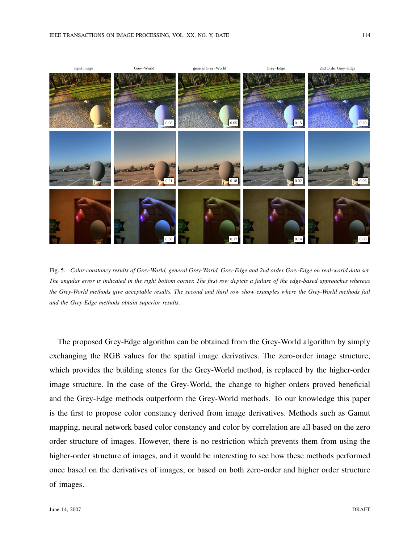

Fig. 5. *Color constancy results of Grey-World, general Grey-World, Grey-Edge and 2nd order Grey-Edge on real-world data set. The angular error is indicated in the right bottom corner. The first row depicts a failure of the edge-based approaches whereas the Grey-World methods give acceptable results. The second and third row show examples where the Grey-World methods fail and the Grey-Edge methods obtain superior results.*

The proposed Grey-Edge algorithm can be obtained from the Grey-World algorithm by simply exchanging the RGB values for the spatial image derivatives. The zero-order image structure, which provides the building stones for the Grey-World method, is replaced by the higher-order image structure. In the case of the Grey-World, the change to higher orders proved beneficial and the Grey-Edge methods outperform the Grey-World methods. To our knowledge this paper is the first to propose color constancy derived from image derivatives. Methods such as Gamut mapping, neural network based color constancy and color by correlation are all based on the zero order structure of images. However, there is no restriction which prevents them from using the higher-order structure of images, and it would be interesting to see how these methods performed once based on the derivatives of images, or based on both zero-order and higher order structure of images.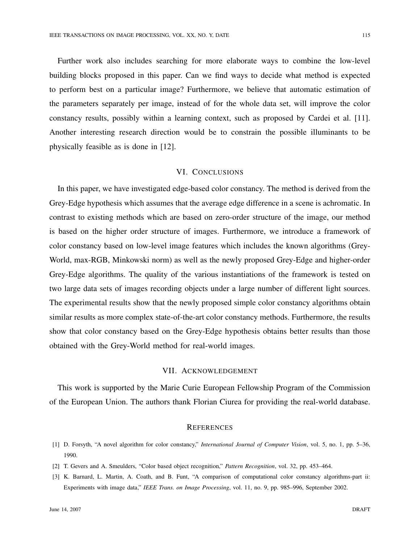Further work also includes searching for more elaborate ways to combine the low-level building blocks proposed in this paper. Can we find ways to decide what method is expected to perform best on a particular image? Furthermore, we believe that automatic estimation of the parameters separately per image, instead of for the whole data set, will improve the color constancy results, possibly within a learning context, such as proposed by Cardei et al. [11]. Another interesting research direction would be to constrain the possible illuminants to be physically feasible as is done in [12].

#### VI. CONCLUSIONS

In this paper, we have investigated edge-based color constancy. The method is derived from the Grey-Edge hypothesis which assumes that the average edge difference in a scene is achromatic. In contrast to existing methods which are based on zero-order structure of the image, our method is based on the higher order structure of images. Furthermore, we introduce a framework of color constancy based on low-level image features which includes the known algorithms (Grey-World, max-RGB, Minkowski norm) as well as the newly proposed Grey-Edge and higher-order Grey-Edge algorithms. The quality of the various instantiations of the framework is tested on two large data sets of images recording objects under a large number of different light sources. The experimental results show that the newly proposed simple color constancy algorithms obtain similar results as more complex state-of-the-art color constancy methods. Furthermore, the results show that color constancy based on the Grey-Edge hypothesis obtains better results than those obtained with the Grey-World method for real-world images.

#### VII. ACKNOWLEDGEMENT

This work is supported by the Marie Curie European Fellowship Program of the Commission of the European Union. The authors thank Florian Ciurea for providing the real-world database.

#### **REFERENCES**

- [1] D. Forsyth, "A novel algorithm for color constancy," *International Journal of Computer Vision*, vol. 5, no. 1, pp. 5–36, 1990.
- [2] T. Gevers and A. Smeulders, "Color based object recognition," *Pattern Recognition*, vol. 32, pp. 453–464.
- [3] K. Barnard, L. Martin, A. Coath, and B. Funt, "A comparison of computational color constancy algorithms-part ii: Experiments with image data," *IEEE Trans. on Image Processing*, vol. 11, no. 9, pp. 985–996, September 2002.